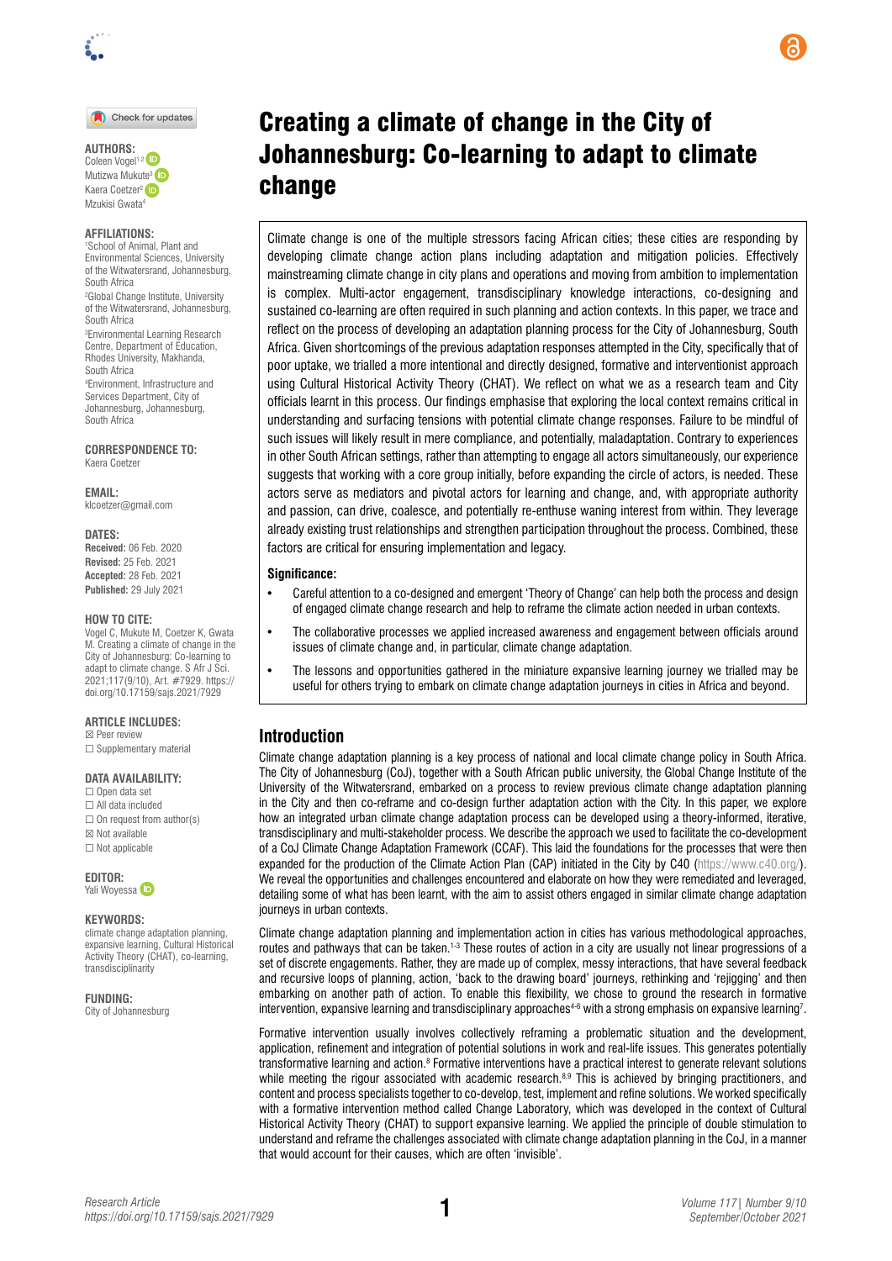#### Check for updates

**AUTHORS:**  Coleen Vogel<sup>1,2</sup> Mutizwa Mukute<sup>3</sup> Kaera Coetzer<sup>2</sup> iD Mzukisi Gwata<sup>4</sup>

#### **AFFILIATIONS:**

1 School of Animal, Plant and Environmental Sciences, University of the Witwatersrand, Johannesburg, South Africa 2 Global Change Institute, University of the Witwatersrand, Johannesburg, South Africa 3 Environmental Learning Research Centre, Department of Education, Rhodes University, Makhanda, South Africa 4 Environment, Infrastructure and Services Department, City of Johannesburg, Johannesburg, South Africa

**CORRESPONDENCE TO:**  Kaera Coetzer

**EMAIL:**  [klcoetzer@gmail.com](mailto:klcoetzer@gmail.com)

**DATES:**

**Received:** 06 Feb. 2020 **Revised:** 25 Feb. 2021 **Accepted:** 28 Feb. 2021 **Published:** 29 July 2021

### **HOW TO CITE:**

Vogel C, Mukute M, Coetzer K, Gwata M. Creating a climate of change in the City of Johannesburg: Co-learning to adapt to climate change. S Afr J Sci. 2021;117(9/10), Art. #7929. [https://](https://doi.org/10.17159/sajs.2021/7929) [doi.org/10.17159/sajs.2021/7929](https://doi.org/10.17159/sajs.2021/7929)

#### **ARTICLE INCLUDES:**

☒ Peer review □ Supplementary material

### **DATA AVAILABILITY:**

☐ Open data set ☐ All data included  $\Box$  On request from author(s) ☒ Not available ☐ Not applicable

**EDITOR:** Yali Woyess[a](https://orcid.org/0000-0002-1128-7321) <sup>(iD</sup>

#### **KEYWORDS:**

climate change adaptation planning, expansive learning, Cultural Historical Activity Theory (CHAT), co-learning, transdisciplinarity

**FUNDING:** 

City of Johannesburg

# Creating a climate of change in the City of Johannesburg: Co-learning to adapt to climate change

Climate change is one of the multiple stressors facing African cities; these cities are responding by developing climate change action plans including adaptation and mitigation policies. Effectively mainstreaming climate change in city plans and operations and moving from ambition to implementation is complex. Multi-actor engagement, transdisciplinary knowledge interactions, co-designing and sustained co-learning are often required in such planning and action contexts. In this paper, we trace and reflect on the process of developing an adaptation planning process for the City of Johannesburg, South Africa. Given shortcomings of the previous adaptation responses attempted in the City, specifically that of poor uptake, we trialled a more intentional and directly designed, formative and interventionist approach using Cultural Historical Activity Theory (CHAT). We reflect on what we as a research team and City officials learnt in this process. Our findings emphasise that exploring the local context remains critical in understanding and surfacing tensions with potential climate change responses. Failure to be mindful of such issues will likely result in mere compliance, and potentially, maladaptation. Contrary to experiences in other South African settings, rather than attempting to engage all actors simultaneously, our experience suggests that working with a core group initially, before expanding the circle of actors, is needed. These actors serve as mediators and pivotal actors for learning and change, and, with appropriate authority and passion, can drive, coalesce, and potentially re-enthuse waning interest from within. They leverage already existing trust relationships and strengthen participation throughout the process. Combined, these factors are critical for ensuring implementation and legacy.

### **Significance:**

- Careful attention to a co-designed and emergent 'Theory of Change' can help both the process and design of engaged climate change research and help to reframe the climate action needed in urban contexts.
- The collaborative processes we applied increased awareness and engagement between officials around issues of climate change and, in particular, climate change adaptation.
- The lessons and opportunities gathered in the miniature expansive learning journey we trialled may be useful for others trying to embark on climate change adaptation journeys in cities in Africa and beyond.

### **Introduction**

Climate change adaptation planning is a key process of national and local climate change policy in South Africa. The City of Johannesburg (CoJ), together with a South African public university, the Global Change Institute of the University of the Witwatersrand, embarked on a process to review previous climate change adaptation planning in the City and then co-reframe and co-design further adaptation action with the City. In this paper, we explore how an integrated urban climate change adaptation process can be developed using a theory-informed, iterative, transdisciplinary and multi-stakeholder process. We describe the approach we used to facilitate the co-development of a CoJ Climate Change Adaptation Framework (CCAF). This laid the foundations for the processes that were then expanded for the production of the Climate Action Plan (CAP) initiated in the City by C40 ([https://www.c40.org/\)](https://www.c40.org/). We reveal the opportunities and challenges encountered and elaborate on how they were remediated and leveraged, detailing some of what has been learnt, with the aim to assist others engaged in similar climate change adaptation journeys in urban contexts.

Climate change adaptation planning and implementation action in cities has various methodological approaches, routes and pathways that can be taken.<sup>1-3</sup> These routes of action in a city are usually not linear progressions of a set of discrete engagements. Rather, they are made up of complex, messy interactions, that have several feedback and recursive loops of planning, action, 'back to the drawing board' journeys, rethinking and 'rejigging' and then embarking on another path of action. To enable this flexibility, we chose to ground the research in formative intervention, expansive learning and transdisciplinary approaches $^{4-6}$  with a strong emphasis on expansive learning?.

Formative intervention usually involves collectively reframing a problematic situation and the development, application, refinement and integration of potential solutions in work and real-life issues. This generates potentially transformative learning and action.<sup>8</sup> Formative interventions have a practical interest to generate relevant solutions while meeting the rigour associated with academic research. $8.9$  This is achieved by bringing practitioners, and content and process specialists together to co-develop, test, implement and refine solutions. We worked specifically with a formative intervention method called Change Laboratory, which was developed in the context of Cultural Historical Activity Theory (CHAT) to support expansive learning. We applied the principle of double stimulation to understand and reframe the challenges associated with climate change adaptation planning in the CoJ, in a manner that would account for their causes, which are often 'invisible'.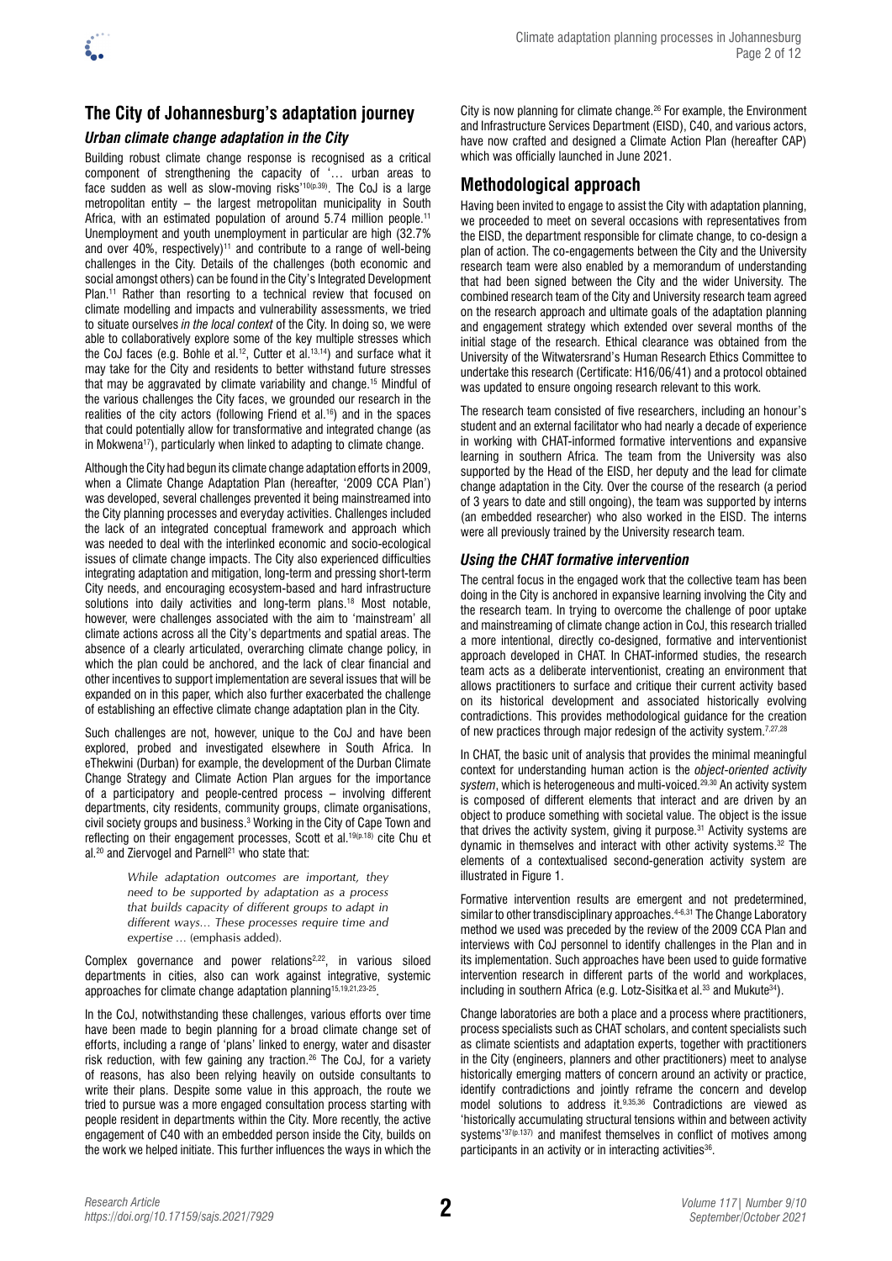

# **The City of Johannesburg's adaptation journey**

### *Urban climate change adaptation in the City*

Building robust climate change response is recognised as a critical component of strengthening the capacity of '… urban areas to face sudden as well as slow-moving risks'<sup>10(p.39)</sup>. The CoJ is a large metropolitan entity – the largest metropolitan municipality in South Africa, with an estimated population of around 5.74 million people.<sup>11</sup> Unemployment and youth unemployment in particular are high (32.7% and over 40%, respectively)<sup>11</sup> and contribute to a range of well-being challenges in the City. Details of the challenges (both economic and social amongst others) can be found in the City's Integrated Development Plan.<sup>11</sup> Rather than resorting to a technical review that focused on climate modelling and impacts and vulnerability assessments, we tried to situate ourselves *in the local context* of the City. In doing so, we were able to collaboratively explore some of the key multiple stresses which the CoJ faces (e.g. Bohle et al.<sup>12</sup>, Cutter et al.<sup>13,14</sup>) and surface what it may take for the City and residents to better withstand future stresses that may be aggravated by climate variability and change.15 Mindful of the various challenges the City faces, we grounded our research in the realities of the city actors (following Friend et al.<sup>16</sup>) and in the spaces that could potentially allow for transformative and integrated change (as in Mokwena<sup>17</sup>), particularly when linked to adapting to climate change.

Although the City had begun its climate change adaptation efforts in 2009, when a Climate Change Adaptation Plan (hereafter, '2009 CCA Plan') was developed, several challenges prevented it being mainstreamed into the City planning processes and everyday activities. Challenges included the lack of an integrated conceptual framework and approach which was needed to deal with the interlinked economic and socio-ecological issues of climate change impacts. The City also experienced difficulties integrating adaptation and mitigation, long-term and pressing short-term City needs, and encouraging ecosystem-based and hard infrastructure solutions into daily activities and long-term plans.<sup>18</sup> Most notable, however, were challenges associated with the aim to 'mainstream' all climate actions across all the City's departments and spatial areas. The absence of a clearly articulated, overarching climate change policy, in which the plan could be anchored, and the lack of clear financial and other incentives to support implementation are several issues that will be expanded on in this paper, which also further exacerbated the challenge of establishing an effective climate change adaptation plan in the City.

Such challenges are not, however, unique to the CoJ and have been explored, probed and investigated elsewhere in South Africa. In eThekwini (Durban) for example, the development of the Durban Climate Change Strategy and Climate Action Plan argues for the importance of a participatory and people-centred process – involving different departments, city residents, community groups, climate organisations, civil society groups and business.3 Working in the City of Cape Town and reflecting on their engagement processes, Scott et al.<sup>19(p.18)</sup> cite Chu et al.<sup>20</sup> and Ziervogel and Parnell<sup>21</sup> who state that:

> *While adaptation outcomes are important, they need to be supported by adaptation as a process that builds capacity of different groups to adapt in different ways… These processes require time and expertise …* (emphasis added)*.*

Complex governance and power relations<sup>2,22</sup>, in various siloed departments in cities, also can work against integrative, systemic approaches for climate change adaptation planning15,19,21,23-25.

In the CoJ, notwithstanding these challenges, various efforts over time have been made to begin planning for a broad climate change set of efforts, including a range of 'plans' linked to energy, water and disaster risk reduction, with few gaining any traction.26 The CoJ, for a variety of reasons, has also been relying heavily on outside consultants to write their plans. Despite some value in this approach, the route we tried to pursue was a more engaged consultation process starting with people resident in departments within the City. More recently, the active engagement of C40 with an embedded person inside the City, builds on the work we helped initiate. This further influences the ways in which the

City is now planning for climate change.26 For example, the Environment and Infrastructure Services Department (EISD), C40, and various actors, have now crafted and designed a Climate Action Plan (hereafter CAP) which was officially launched in June 2021.

# **Methodological approach**

Having been invited to engage to assist the City with adaptation planning, we proceeded to meet on several occasions with representatives from the EISD, the department responsible for climate change, to co-design a plan of action. The co-engagements between the City and the University research team were also enabled by a memorandum of understanding that had been signed between the City and the wider University. The combined research team of the City and University research team agreed on the research approach and ultimate goals of the adaptation planning and engagement strategy which extended over several months of the initial stage of the research. Ethical clearance was obtained from the University of the Witwatersrand's Human Research Ethics Committee to undertake this research (Certificate: H16/06/41) and a protocol obtained was updated to ensure ongoing research relevant to this work.

The research team consisted of five researchers, including an honour's student and an external facilitator who had nearly a decade of experience in working with CHAT-informed formative interventions and expansive learning in southern Africa. The team from the University was also supported by the Head of the EISD, her deputy and the lead for climate change adaptation in the City. Over the course of the research (a period of 3 years to date and still ongoing), the team was supported by interns (an embedded researcher) who also worked in the EISD. The interns were all previously trained by the University research team.

### *Using the CHAT formative intervention*

The central focus in the engaged work that the collective team has been doing in the City is anchored in expansive learning involving the City and the research team. In trying to overcome the challenge of poor uptake and mainstreaming of climate change action in CoJ, this research trialled a more intentional, directly co-designed, formative and interventionist approach developed in CHAT. In CHAT-informed studies, the research team acts as a deliberate interventionist, creating an environment that allows practitioners to surface and critique their current activity based on its historical development and associated historically evolving contradictions. This provides methodological guidance for the creation of new practices through major redesign of the activity system.<sup>7,27,28</sup>

In CHAT, the basic unit of analysis that provides the minimal meaningful context for understanding human action is the *object-oriented activity*  system, which is heterogeneous and multi-voiced.<sup>29,30</sup> An activity system is composed of different elements that interact and are driven by an object to produce something with societal value. The object is the issue that drives the activity system, giving it purpose.31 Activity systems are dynamic in themselves and interact with other activity systems.32 The elements of a contextualised second-generation activity system are illustrated in Figure 1.

Formative intervention results are emergent and not predetermined, similar to other transdisciplinary approaches.<sup>4-6,31</sup> The Change Laboratory method we used was preceded by the review of the 2009 CCA Plan and interviews with CoJ personnel to identify challenges in the Plan and in its implementation. Such approaches have been used to guide formative intervention research in different parts of the world and workplaces, including in southern Africa (e.g. Lotz-Sisitka et al.<sup>33</sup> and Mukute<sup>34</sup>).

Change laboratories are both a place and a process where practitioners, process specialists such as CHAT scholars, and content specialists such as climate scientists and adaptation experts, together with practitioners in the City (engineers, planners and other practitioners) meet to analyse historically emerging matters of concern around an activity or practice, identify contradictions and jointly reframe the concern and develop model solutions to address it.<sup>9,35,36</sup> Contradictions are viewed as 'historically accumulating structural tensions within and between activity systems<sup>'37(p.137)</sup> and manifest themselves in conflict of motives among participants in an activity or in interacting activities<sup>36</sup>.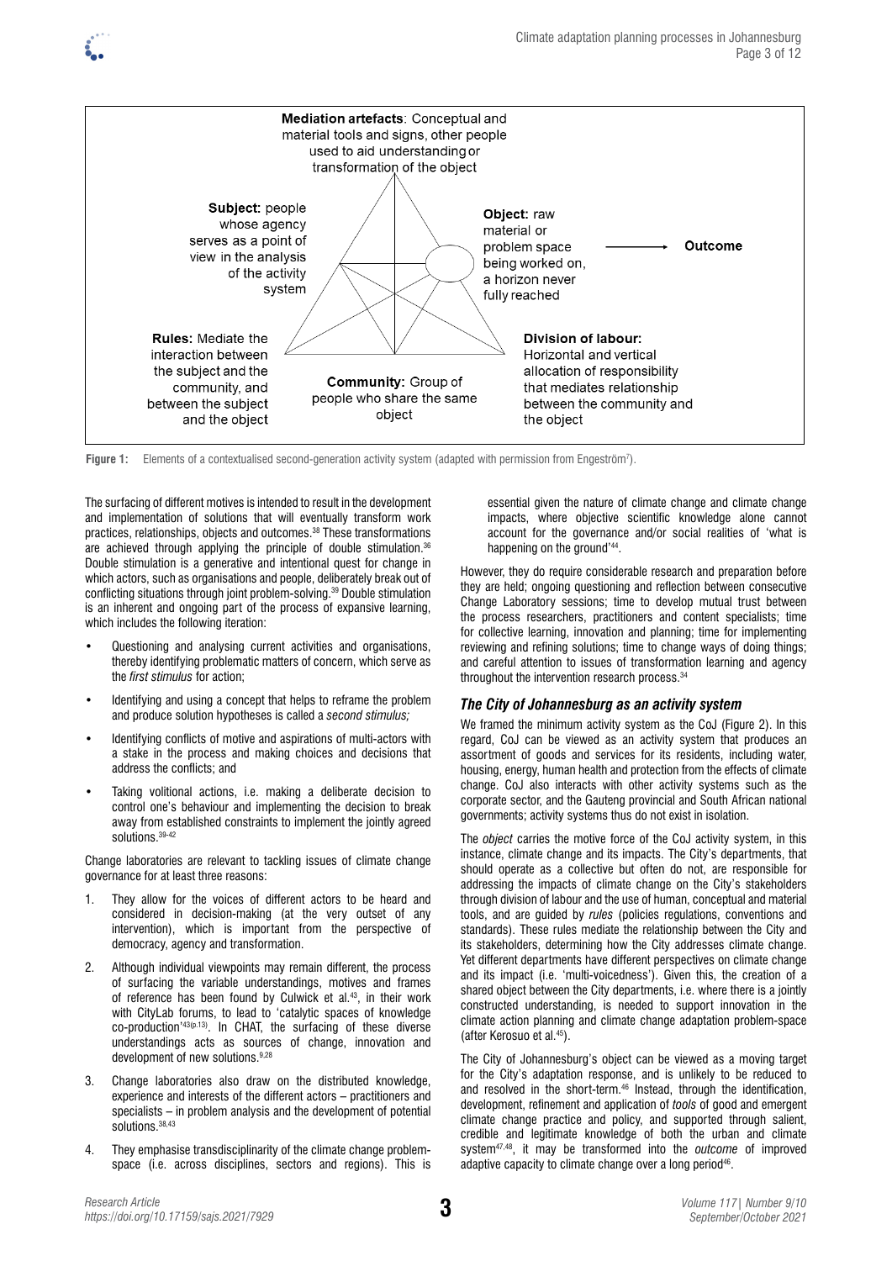

Figure 1: Elements of a contextualised second-generation activity system (adapted with permission from Engeström<sup>7</sup>).

The surfacing of different motives is intended to result in the development and implementation of solutions that will eventually transform work practices, relationships, objects and outcomes.38 These transformations are achieved through applying the principle of double stimulation.36 Double stimulation is a generative and intentional quest for change in which actors, such as organisations and people, deliberately break out of conflicting situations through joint problem-solving.39 Double stimulation is an inherent and ongoing part of the process of expansive learning, which includes the following iteration:

- Questioning and analysing current activities and organisations, thereby identifying problematic matters of concern, which serve as the *first stimulus* for action;
- Identifying and using a concept that helps to reframe the problem and produce solution hypotheses is called a *second stimulus;*
- Identifying conflicts of motive and aspirations of multi-actors with a stake in the process and making choices and decisions that address the conflicts; and
- Taking volitional actions, i.e. making a deliberate decision to control one's behaviour and implementing the decision to break away from established constraints to implement the jointly agreed solutions.39-42

Change laboratories are relevant to tackling issues of climate change governance for at least three reasons:

- 1. They allow for the voices of different actors to be heard and considered in decision-making (at the very outset of any intervention), which is important from the perspective of democracy, agency and transformation.
- 2. Although individual viewpoints may remain different, the process of surfacing the variable understandings, motives and frames of reference has been found by Culwick et al.<sup>43</sup>, in their work with CityLab forums, to lead to 'catalytic spaces of knowledge co-production'43(p.13). In CHAT, the surfacing of these diverse understandings acts as sources of change, innovation and development of new solutions. 9,28
- 3. Change laboratories also draw on the distributed knowledge, experience and interests of the different actors – practitioners and specialists – in problem analysis and the development of potential solutions.38,43
- 4. They emphasise transdisciplinarity of the climate change problemspace (i.e. across disciplines, sectors and regions). This is

essential given the nature of climate change and climate change impacts, where objective scientific knowledge alone cannot account for the governance and/or social realities of 'what is happening on the ground'44.

However, they do require considerable research and preparation before they are held; ongoing questioning and reflection between consecutive Change Laboratory sessions; time to develop mutual trust between the process researchers, practitioners and content specialists; time for collective learning, innovation and planning; time for implementing reviewing and refining solutions; time to change ways of doing things; and careful attention to issues of transformation learning and agency throughout the intervention research process.<sup>34</sup>

### *The City of Johannesburg as an activity system*

We framed the minimum activity system as the CoJ (Figure 2). In this regard, CoJ can be viewed as an activity system that produces an assortment of goods and services for its residents, including water, housing, energy, human health and protection from the effects of climate change. CoJ also interacts with other activity systems such as the corporate sector, and the Gauteng provincial and South African national governments; activity systems thus do not exist in isolation.

The *object* carries the motive force of the CoJ activity system, in this instance, climate change and its impacts. The City's departments, that should operate as a collective but often do not, are responsible for addressing the impacts of climate change on the City's stakeholders through division of labour and the use of human, conceptual and material tools, and are guided by *rules* (policies regulations, conventions and standards). These rules mediate the relationship between the City and its stakeholders, determining how the City addresses climate change. Yet different departments have different perspectives on climate change and its impact (i.e. 'multi-voicedness'). Given this, the creation of a shared object between the City departments, i.e. where there is a jointly constructed understanding, is needed to support innovation in the climate action planning and climate change adaptation problem-space (after Kerosuo et al.45).

The City of Johannesburg's object can be viewed as a moving target for the City's adaptation response, and is unlikely to be reduced to and resolved in the short-term.46 Instead, through the identification, development, refinement and application of *tools* of good and emergent climate change practice and policy, and supported through salient, credible and legitimate knowledge of both the urban and climate system47,48, it may be transformed into the *outcome* of improved adaptive capacity to climate change over a long period46.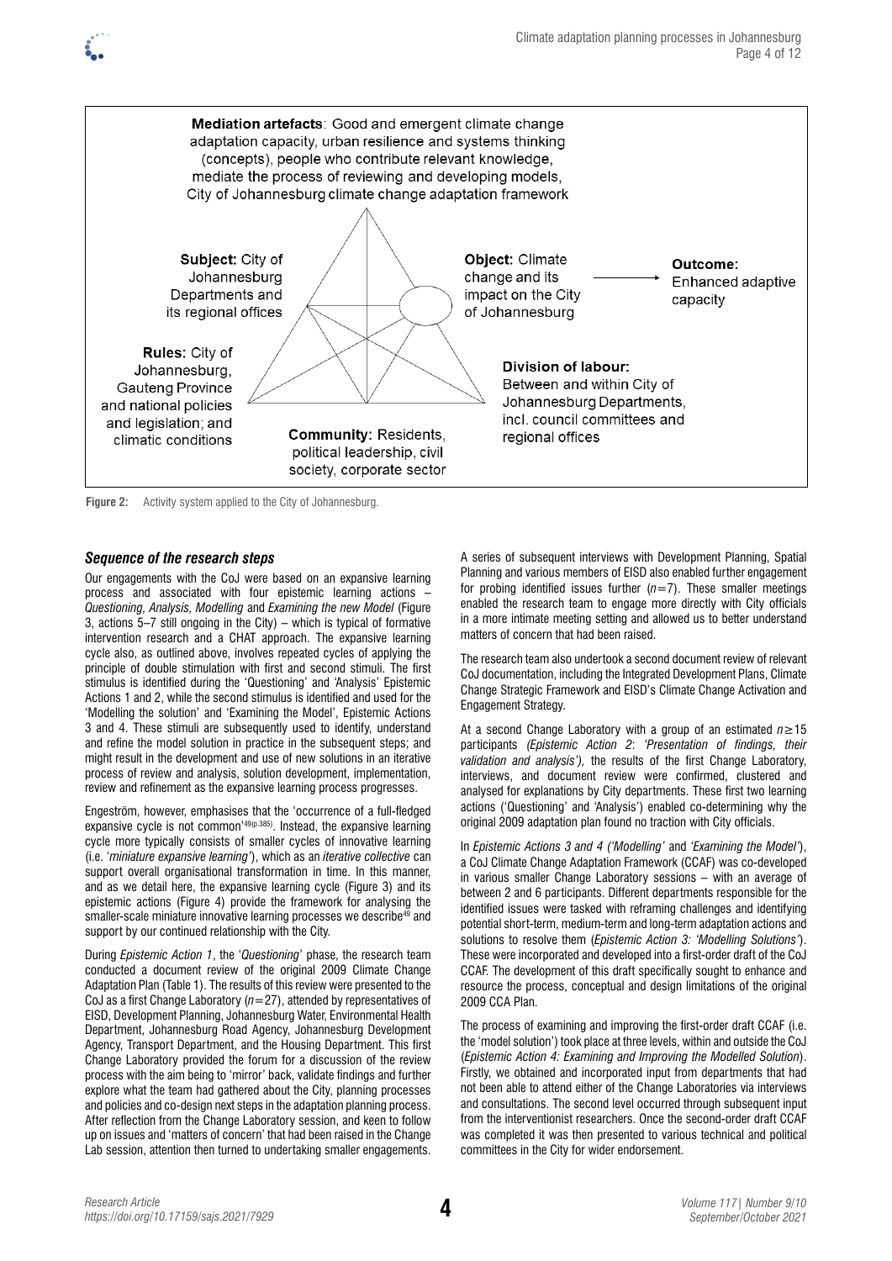



**Figure 2:** Activity system applied to the City of Johannesburg.

### *Sequence of the research steps*

Our engagements with the CoJ were based on an expansive learning process and associated with four epistemic learning actions – *Questioning, Analysis, Modelling* and *Examining the new Model* (Figure 3, actions 5–7 still ongoing in the City) – which is typical of formative intervention research and a CHAT approach. The expansive learning cycle also, as outlined above, involves repeated cycles of applying the principle of double stimulation with first and second stimuli. The first stimulus is identified during the 'Questioning' and 'Analysis' Epistemic Actions 1 and 2, while the second stimulus is identified and used for the 'Modelling the solution' and 'Examining the Model', Epistemic Actions 3 and 4. These stimuli are subsequently used to identify, understand and refine the model solution in practice in the subsequent steps; and might result in the development and use of new solutions in an iterative process of review and analysis, solution development, implementation, review and refinement as the expansive learning process progresses.

Engeström, however, emphasises that the 'occurrence of a full-fledged expansive cycle is not common'49(p.385). Instead, the expansive learning cycle more typically consists of smaller cycles of innovative learning (i.e. '*miniature expansive learning'*), which as an *iterative collective* can support overall organisational transformation in time. In this manner, and as we detail here, the expansive learning cycle (Figure 3) and its epistemic actions (Figure 4) provide the framework for analysing the smaller-scale miniature innovative learning processes we describe<sup>49</sup> and support by our continued relationship with the City.

During *Epistemic Action 1*, the '*Questioning*' phase, the research team conducted a document review of the original 2009 Climate Change Adaptation Plan (Table 1). The results of this review were presented to the CoJ as a first Change Laboratory (*n*=27), attended by representatives of EISD, Development Planning, Johannesburg Water, Environmental Health Department, Johannesburg Road Agency, Johannesburg Development Agency, Transport Department, and the Housing Department. This first Change Laboratory provided the forum for a discussion of the review process with the aim being to 'mirror' back, validate findings and further explore what the team had gathered about the City, planning processes and policies and co-design next steps in the adaptation planning process. After reflection from the Change Laboratory session, and keen to follow up on issues and 'matters of concern' that had been raised in the Change Lab session, attention then turned to undertaking smaller engagements.

A series of subsequent interviews with Development Planning, Spatial Planning and various members of EISD also enabled further engagement for probing identified issues further  $(n=7)$ . These smaller meetings enabled the research team to engage more directly with City officials in a more intimate meeting setting and allowed us to better understand matters of concern that had been raised.

The research team also undertook a second document review of relevant CoJ documentation, including the Integrated Development Plans, Climate Change Strategic Framework and EISD's Climate Change Activation and Engagement Strategy.

At a second Change Laboratory with a group of an estimated *n*≥15 participants *(Epistemic Action 2*: *'Presentation of findings, their validation and analysis'),* the results of the first Change Laboratory, interviews, and document review were confirmed, clustered and analysed for explanations by City departments. These first two learning actions ('Questioning' and 'Analysis') enabled co-determining why the original 2009 adaptation plan found no traction with City officials.

In *Epistemic Actions 3 and 4 ('Modelling'* and *'Examining the Model'*), a CoJ Climate Change Adaptation Framework (CCAF) was co-developed in various smaller Change Laboratory sessions – with an average of between 2 and 6 participants. Different departments responsible for the identified issues were tasked with reframing challenges and identifying potential short-term, medium-term and long-term adaptation actions and solutions to resolve them (*Epistemic Action 3: 'Modelling Solutions'*). These were incorporated and developed into a first-order draft of the CoJ CCAF. The development of this draft specifically sought to enhance and resource the process, conceptual and design limitations of the original 2009 CCA Plan.

The process of examining and improving the first-order draft CCAF (i.e. the 'model solution') took place at three levels, within and outside the CoJ (*Epistemic Action 4: Examining and Improving the Modelled Solution*). Firstly, we obtained and incorporated input from departments that had not been able to attend either of the Change Laboratories via interviews and consultations. The second level occurred through subsequent input from the interventionist researchers. Once the second-order draft CCAF was completed it was then presented to various technical and political committees in the City for wider endorsement.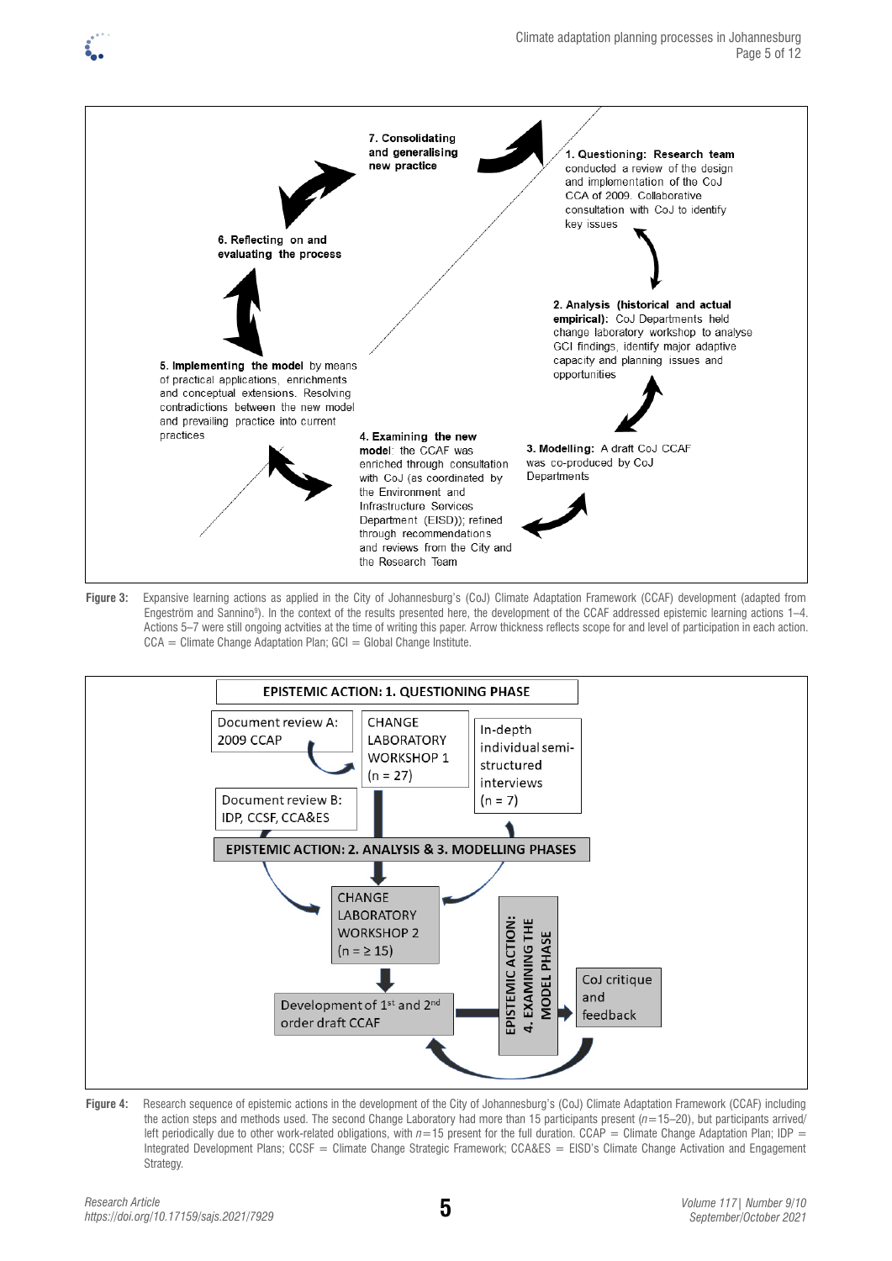







**Figure 4:** Research sequence of epistemic actions in the development of the City of Johannesburg's (CoJ) Climate Adaptation Framework (CCAF) including the action steps and methods used. The second Change Laboratory had more than 15 participants present (*n*=15–20), but participants arrived/ left periodically due to other work-related obligations, with  $n=15$  present for the full duration. CCAP = Climate Change Adaptation Plan; IDP = Integrated Development Plans; CCSF = Climate Change Strategic Framework; CCA&ES = EISD's Climate Change Activation and Engagement Strategy.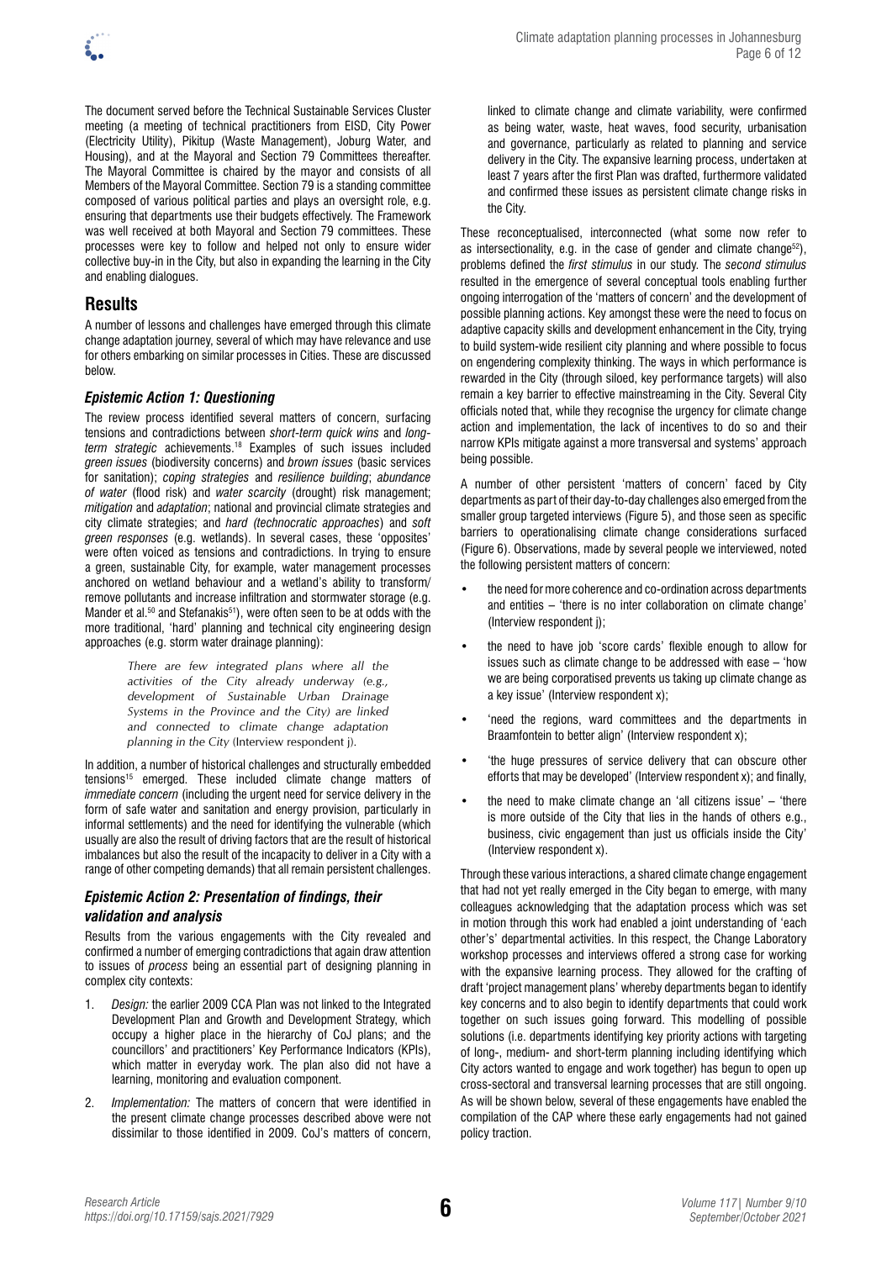

The document served before the Technical Sustainable Services Cluster meeting (a meeting of technical practitioners from EISD, City Power (Electricity Utility), Pikitup (Waste Management), Joburg Water, and Housing), and at the Mayoral and Section 79 Committees thereafter. The Mayoral Committee is chaired by the mayor and consists of all Members of the Mayoral Committee. Section 79 is a standing committee composed of various political parties and plays an oversight role, e.g. ensuring that departments use their budgets effectively. The Framework was well received at both Mayoral and Section 79 committees. These processes were key to follow and helped not only to ensure wider collective buy-in in the City, but also in expanding the learning in the City and enabling dialogues.

# **Results**

A number of lessons and challenges have emerged through this climate change adaptation journey, several of which may have relevance and use for others embarking on similar processes in Cities. These are discussed below.

### *Epistemic Action 1: Questioning*

The review process identified several matters of concern, surfacing tensions and contradictions between *short-term quick wins* and *longterm strategic* achievements.18 Examples of such issues included *green issues* (biodiversity concerns) and *brown issues* (basic services for sanitation); *coping strategies* and *resilience building*; *abundance of water* (flood risk) and *water scarcity* (drought) risk management; *mitigation* and *adaptation*; national and provincial climate strategies and city climate strategies; and *hard (technocratic approaches*) and *soft green responses* (e.g. wetlands). In several cases, these 'opposites' were often voiced as tensions and contradictions. In trying to ensure a green, sustainable City, for example, water management processes anchored on wetland behaviour and a wetland's ability to transform/ remove pollutants and increase infiltration and stormwater storage (e.g. Mander et al.<sup>50</sup> and Stefanakis<sup>51</sup>), were often seen to be at odds with the more traditional, 'hard' planning and technical city engineering design approaches (e.g. storm water drainage planning):

> *There are few integrated plans where all the activities of the City already underway (e.g., development of Sustainable Urban Drainage Systems in the Province and the City) are linked and connected to climate change adaptation planning in the City* (Interview respondent j)*.*

In addition, a number of historical challenges and structurally embedded tensions<sup>15</sup> emerged. These included climate change matters of *immediate concern* (including the urgent need for service delivery in the form of safe water and sanitation and energy provision, particularly in informal settlements) and the need for identifying the vulnerable (which usually are also the result of driving factors that are the result of historical imbalances but also the result of the incapacity to deliver in a City with a range of other competing demands) that all remain persistent challenges.

### *Epistemic Action 2: Presentation of findings, their validation and analysis*

Results from the various engagements with the City revealed and confirmed a number of emerging contradictions that again draw attention to issues of *process* being an essential part of designing planning in complex city contexts:

- 1. *Design:* the earlier 2009 CCA Plan was not linked to the Integrated Development Plan and Growth and Development Strategy, which occupy a higher place in the hierarchy of CoJ plans; and the councillors' and practitioners' Key Performance Indicators (KPIs), which matter in everyday work. The plan also did not have a learning, monitoring and evaluation component.
- 2. *Implementation:* The matters of concern that were identified in the present climate change processes described above were not dissimilar to those identified in 2009. CoJ's matters of concern,

linked to climate change and climate variability, were confirmed as being water, waste, heat waves, food security, urbanisation and governance, particularly as related to planning and service delivery in the City. The expansive learning process, undertaken at least 7 years after the first Plan was drafted, furthermore validated and confirmed these issues as persistent climate change risks in the City.

These reconceptualised, interconnected (what some now refer to as intersectionality, e.g. in the case of gender and climate change<sup>52</sup>), problems defined the *first stimulus* in our study. The *second stimulus* resulted in the emergence of several conceptual tools enabling further ongoing interrogation of the 'matters of concern' and the development of possible planning actions. Key amongst these were the need to focus on adaptive capacity skills and development enhancement in the City, trying to build system-wide resilient city planning and where possible to focus on engendering complexity thinking. The ways in which performance is rewarded in the City (through siloed, key performance targets) will also remain a key barrier to effective mainstreaming in the City. Several City officials noted that, while they recognise the urgency for climate change action and implementation, the lack of incentives to do so and their narrow KPIs mitigate against a more transversal and systems' approach being possible.

A number of other persistent 'matters of concern' faced by City departments as part of their day-to-day challenges also emerged from the smaller group targeted interviews (Figure 5), and those seen as specific barriers to operationalising climate change considerations surfaced (Figure 6). Observations, made by several people we interviewed, noted the following persistent matters of concern:

- the need for more coherence and co-ordination across departments and entities – 'there is no inter collaboration on climate change' (Interview respondent j);
- the need to have job 'score cards' flexible enough to allow for issues such as climate change to be addressed with ease – 'how we are being corporatised prevents us taking up climate change as a key issue' (Interview respondent x);
- 'need the regions, ward committees and the departments in Braamfontein to better align' (Interview respondent x):
- 'the huge pressures of service delivery that can obscure other efforts that may be developed' (Interview respondent x); and finally,
- the need to make climate change an 'all citizens issue' 'there is more outside of the City that lies in the hands of others e.g., business, civic engagement than just us officials inside the City' (Interview respondent x).

Through these various interactions, a shared climate change engagement that had not yet really emerged in the City began to emerge, with many colleagues acknowledging that the adaptation process which was set in motion through this work had enabled a joint understanding of 'each other's' departmental activities. In this respect, the Change Laboratory workshop processes and interviews offered a strong case for working with the expansive learning process. They allowed for the crafting of draft 'project management plans' whereby departments began to identify key concerns and to also begin to identify departments that could work together on such issues going forward. This modelling of possible solutions (i.e. departments identifying key priority actions with targeting of long-, medium- and short-term planning including identifying which City actors wanted to engage and work together) has begun to open up cross-sectoral and transversal learning processes that are still ongoing. As will be shown below, several of these engagements have enabled the compilation of the CAP where these early engagements had not gained policy traction.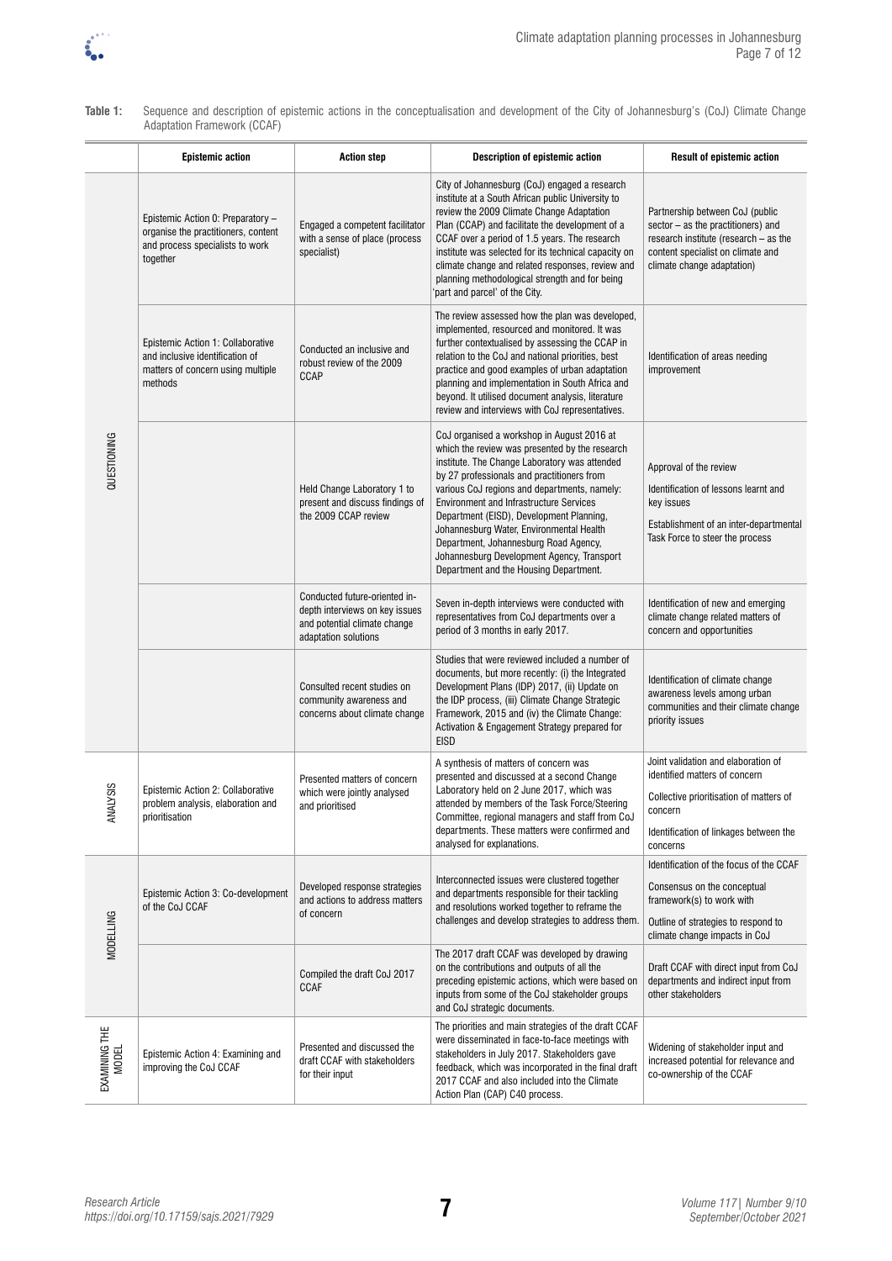

| Table 1: | Sequence and description of epistemic actions in the conceptualisation and development of the City of Johannesburg's (CoJ) Climate Change |  |
|----------|-------------------------------------------------------------------------------------------------------------------------------------------|--|
|          | Adaptation Framework (CCAF)                                                                                                               |  |

|                        | <b>Epistemic action</b>                                                                                                 | <b>Action step</b>                                                                                                      | <b>Description of epistemic action</b>                                                                                                                                                                                                                                                                                                                                                                                                                                                                                 | Result of epistemic action                                                                                                                                                        |
|------------------------|-------------------------------------------------------------------------------------------------------------------------|-------------------------------------------------------------------------------------------------------------------------|------------------------------------------------------------------------------------------------------------------------------------------------------------------------------------------------------------------------------------------------------------------------------------------------------------------------------------------------------------------------------------------------------------------------------------------------------------------------------------------------------------------------|-----------------------------------------------------------------------------------------------------------------------------------------------------------------------------------|
| QUESTIONING            | Epistemic Action 0: Preparatory -<br>organise the practitioners, content<br>and process specialists to work<br>together | Engaged a competent facilitator<br>with a sense of place (process<br>specialist)                                        | City of Johannesburg (CoJ) engaged a research<br>institute at a South African public University to<br>review the 2009 Climate Change Adaptation<br>Plan (CCAP) and facilitate the development of a<br>CCAF over a period of 1.5 years. The research<br>institute was selected for its technical capacity on<br>climate change and related responses, review and<br>planning methodological strength and for being<br>part and parcel' of the City.                                                                     | Partnership between CoJ (public<br>sector - as the practitioners) and<br>research institute (research - as the<br>content specialist on climate and<br>climate change adaptation) |
|                        | Epistemic Action 1: Collaborative<br>and inclusive identification of<br>matters of concern using multiple<br>methods    | Conducted an inclusive and<br>robust review of the 2009<br>CCAP                                                         | The review assessed how the plan was developed,<br>implemented, resourced and monitored. It was<br>further contextualised by assessing the CCAP in<br>relation to the CoJ and national priorities, best<br>practice and good examples of urban adaptation<br>planning and implementation in South Africa and<br>beyond. It utilised document analysis, literature<br>review and interviews with CoJ representatives.                                                                                                   | Identification of areas needing<br>improvement                                                                                                                                    |
|                        |                                                                                                                         | Held Change Laboratory 1 to<br>present and discuss findings of<br>the 2009 CCAP review                                  | CoJ organised a workshop in August 2016 at<br>which the review was presented by the research<br>institute. The Change Laboratory was attended<br>by 27 professionals and practitioners from<br>various CoJ regions and departments, namely:<br><b>Environment and Infrastructure Services</b><br>Department (EISD), Development Planning,<br>Johannesburg Water, Environmental Health<br>Department, Johannesburg Road Agency,<br>Johannesburg Development Agency, Transport<br>Department and the Housing Department. | Approval of the review<br>Identification of lessons learnt and<br>key issues<br>Establishment of an inter-departmental<br>Task Force to steer the process                         |
|                        |                                                                                                                         | Conducted future-oriented in-<br>depth interviews on key issues<br>and potential climate change<br>adaptation solutions | Seven in-depth interviews were conducted with<br>representatives from CoJ departments over a<br>period of 3 months in early 2017.                                                                                                                                                                                                                                                                                                                                                                                      | Identification of new and emerging<br>climate change related matters of<br>concern and opportunities                                                                              |
|                        |                                                                                                                         | Consulted recent studies on<br>community awareness and<br>concerns about climate change                                 | Studies that were reviewed included a number of<br>documents, but more recently: (i) the Integrated<br>Development Plans (IDP) 2017, (ii) Update on<br>the IDP process, (iii) Climate Change Strategic<br>Framework, 2015 and (iv) the Climate Change:<br>Activation & Engagement Strategy prepared for<br><b>EISD</b>                                                                                                                                                                                                 | Identification of climate change<br>awareness levels among urban<br>communities and their climate change<br>priority issues                                                       |
| <b>ALYSIS</b><br>₹     | Epistemic Action 2: Collaborative<br>problem analysis, elaboration and<br>prioritisation                                | Presented matters of concern<br>which were jointly analysed<br>and prioritised                                          | A synthesis of matters of concern was<br>presented and discussed at a second Change<br>Laboratory held on 2 June 2017, which was<br>attended by members of the Task Force/Steering<br>Committee, regional managers and staff from CoJ<br>departments. These matters were confirmed and<br>analysed for explanations.                                                                                                                                                                                                   | Joint validation and elaboration of<br>identified matters of concern<br>Collective prioritisation of matters of<br>concern<br>Identification of linkages between the<br>concerns  |
| <b>MODELLING</b>       | Epistemic Action 3: Co-development<br>of the CoJ CCAF                                                                   | Developed response strategies<br>and actions to address matters<br>of concern                                           | Interconnected issues were clustered together<br>and departments responsible for their tackling<br>and resolutions worked together to reframe the<br>challenges and develop strategies to address them.                                                                                                                                                                                                                                                                                                                | Identification of the focus of the CCAF<br>Consensus on the conceptual<br>framework(s) to work with<br>Outline of strategies to respond to<br>climate change impacts in CoJ       |
|                        |                                                                                                                         | Compiled the draft CoJ 2017<br><b>CCAF</b>                                                                              | The 2017 draft CCAF was developed by drawing<br>on the contributions and outputs of all the<br>preceding epistemic actions, which were based on<br>inputs from some of the CoJ stakeholder groups<br>and CoJ strategic documents.                                                                                                                                                                                                                                                                                      | Draft CCAF with direct input from CoJ<br>departments and indirect input from<br>other stakeholders                                                                                |
| EXAMINING THE<br>MODEL | Epistemic Action 4: Examining and<br>improving the CoJ CCAF                                                             | Presented and discussed the<br>draft CCAF with stakeholders<br>for their input                                          | The priorities and main strategies of the draft CCAF<br>were disseminated in face-to-face meetings with<br>stakeholders in July 2017. Stakeholders gave<br>feedback, which was incorporated in the final draft<br>2017 CCAF and also included into the Climate<br>Action Plan (CAP) C40 process.                                                                                                                                                                                                                       | Widening of stakeholder input and<br>increased potential for relevance and<br>co-ownership of the CCAF                                                                            |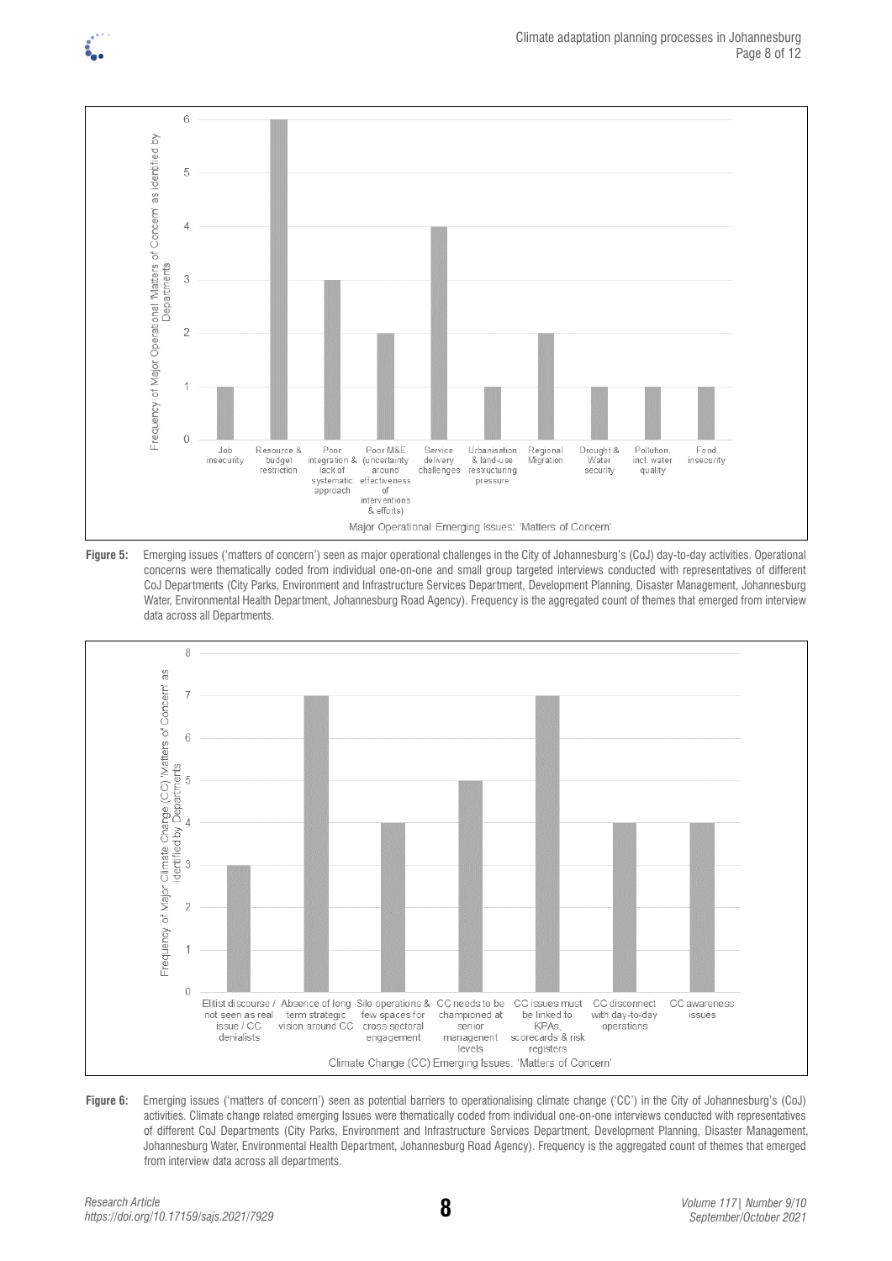





Figure 6: Emerging issues ('matters of concern') seen as potential barriers to operationalising climate change ('CC') in the City of Johannesburg's (CoJ) activities. Climate change related emerging Issues were thematically coded from individual one-on-one interviews conducted with representatives of different CoJ Departments (City Parks, Environment and Infrastructure Services Department, Development Planning, Disaster Management, Johannesburg Water, Environmental Health Department, Johannesburg Road Agency). Frequency is the aggregated count of themes that emerged from interview data across all departments.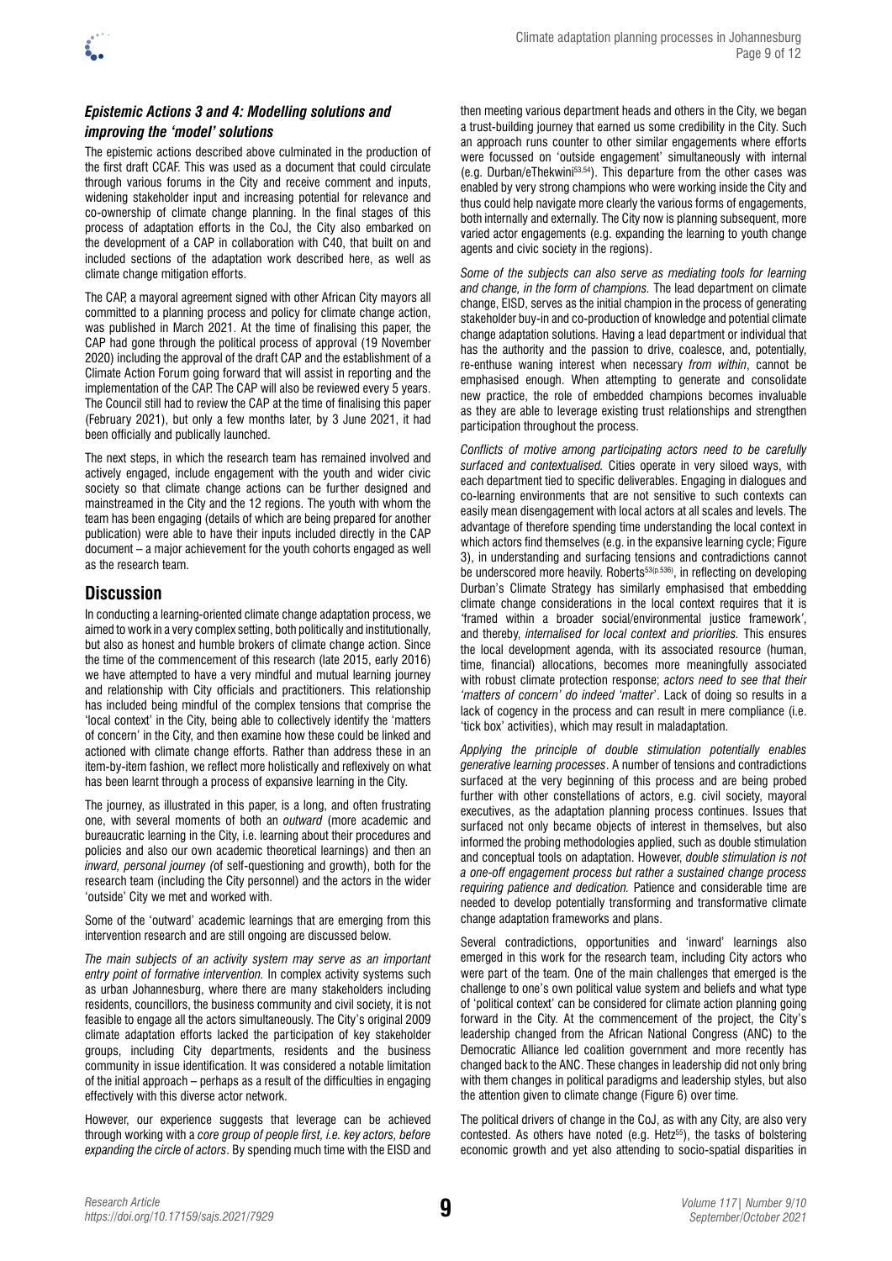

### *Epistemic Actions 3 and 4: Modelling solutions and improving the 'model' solutions*

The epistemic actions described above culminated in the production of the first draft CCAF. This was used as a document that could circulate through various forums in the City and receive comment and inputs, widening stakeholder input and increasing potential for relevance and co-ownership of climate change planning. In the final stages of this process of adaptation efforts in the CoJ, the City also embarked on the development of a CAP in collaboration with C40, that built on and included sections of the adaptation work described here, as well as climate change mitigation efforts.

The CAP, a mayoral agreement signed with other African City mayors all committed to a planning process and policy for climate change action, was published in March 2021. At the time of finalising this paper, the CAP had gone through the political process of approval (19 November 2020) including the approval of the draft CAP and the establishment of a Climate Action Forum going forward that will assist in reporting and the implementation of the CAP. The CAP will also be reviewed every 5 years. The Council still had to review the CAP at the time of finalising this paper (February 2021), but only a few months later, by 3 June 2021, it had been officially and publically launched.

The next steps, in which the research team has remained involved and actively engaged, include engagement with the youth and wider civic society so that climate change actions can be further designed and mainstreamed in the City and the 12 regions. The youth with whom the team has been engaging (details of which are being prepared for another publication) were able to have their inputs included directly in the CAP document – a major achievement for the youth cohorts engaged as well as the research team.

# **Discussion**

In conducting a learning-oriented climate change adaptation process, we aimed to work in a very complex setting, both politically and institutionally, but also as honest and humble brokers of climate change action. Since the time of the commencement of this research (late 2015, early 2016) we have attempted to have a very mindful and mutual learning journey and relationship with City officials and practitioners. This relationship has included being mindful of the complex tensions that comprise the 'local context' in the City, being able to collectively identify the 'matters of concern' in the City, and then examine how these could be linked and actioned with climate change efforts. Rather than address these in an item-by-item fashion, we reflect more holistically and reflexively on what has been learnt through a process of expansive learning in the City.

The journey, as illustrated in this paper, is a long, and often frustrating one, with several moments of both an *outward* (more academic and bureaucratic learning in the City, i.e. learning about their procedures and policies and also our own academic theoretical learnings) and then an *inward, personal journey (*of self-questioning and growth), both for the research team (including the City personnel) and the actors in the wider 'outside' City we met and worked with.

Some of the 'outward' academic learnings that are emerging from this intervention research and are still ongoing are discussed below.

*The main subjects of an activity system may serve as an important entry point of formative intervention.* In complex activity systems such as urban Johannesburg, where there are many stakeholders including residents, councillors, the business community and civil society, it is not feasible to engage all the actors simultaneously. The City's original 2009 climate adaptation efforts lacked the participation of key stakeholder groups, including City departments, residents and the business community in issue identification. It was considered a notable limitation of the initial approach – perhaps as a result of the difficulties in engaging effectively with this diverse actor network.

However, our experience suggests that leverage can be achieved through working with a *core group of people first, i.e. key actors, before expanding the circle of actors*. By spending much time with the EISD and then meeting various department heads and others in the City, we began a trust-building journey that earned us some credibility in the City. Such an approach runs counter to other similar engagements where efforts were focussed on 'outside engagement' simultaneously with internal (e.g. Durban/eThekwini53,54). This departure from the other cases was enabled by very strong champions who were working inside the City and thus could help navigate more clearly the various forms of engagements, both internally and externally. The City now is planning subsequent, more varied actor engagements (e.g. expanding the learning to youth change agents and civic society in the regions).

*Some of the subjects can also serve as mediating tools for learning and change, in the form of champions.* The lead department on climate change, EISD, serves as the initial champion in the process of generating stakeholder buy-in and co-production of knowledge and potential climate change adaptation solutions. Having a lead department or individual that has the authority and the passion to drive, coalesce, and, potentially, re-enthuse waning interest when necessary *from within*, cannot be emphasised enough. When attempting to generate and consolidate new practice, the role of embedded champions becomes invaluable as they are able to leverage existing trust relationships and strengthen participation throughout the process.

*Conflicts of motive among participating actors need to be carefully surfaced and contextualised.* Cities operate in very siloed ways, with each department tied to specific deliverables. Engaging in dialogues and co-learning environments that are not sensitive to such contexts can easily mean disengagement with local actors at all scales and levels. The advantage of therefore spending time understanding the local context in which actors find themselves (e.g. in the expansive learning cycle; Figure 3), in understanding and surfacing tensions and contradictions cannot be underscored more heavily. Roberts<sup>53(p.536)</sup>, in reflecting on developing Durban's Climate Strategy has similarly emphasised that embedding climate change considerations in the local context requires that it is *'*framed within a broader social/environmental justice framework*'*, and thereby, *internalised for local context and priorities.* This ensures the local development agenda, with its associated resource (human, time, financial) allocations, becomes more meaningfully associated with robust climate protection response; *actors need to see that their 'matters of concern' do indeed 'matter*'. Lack of doing so results in a lack of cogency in the process and can result in mere compliance (i.e. 'tick box' activities), which may result in maladaptation.

*Applying the principle of double stimulation potentially enables generative learning processes*. A number of tensions and contradictions surfaced at the very beginning of this process and are being probed further with other constellations of actors, e.g. civil society, mayoral executives, as the adaptation planning process continues. Issues that surfaced not only became objects of interest in themselves, but also informed the probing methodologies applied, such as double stimulation and conceptual tools on adaptation. However, *double stimulation is not a one-off engagement process but rather a sustained change process requiring patience and dedication.* Patience and considerable time are needed to develop potentially transforming and transformative climate change adaptation frameworks and plans.

Several contradictions, opportunities and 'inward' learnings also emerged in this work for the research team, including City actors who were part of the team. One of the main challenges that emerged is the challenge to one's own political value system and beliefs and what type of 'political context' can be considered for climate action planning going forward in the City. At the commencement of the project, the City's leadership changed from the African National Congress (ANC) to the Democratic Alliance led coalition government and more recently has changed back to the ANC. These changes in leadership did not only bring with them changes in political paradigms and leadership styles, but also the attention given to climate change (Figure 6) over time.

The political drivers of change in the CoJ, as with any City, are also very contested. As others have noted (e.g. Het $z^{55}$ ), the tasks of bolstering economic growth and yet also attending to socio-spatial disparities in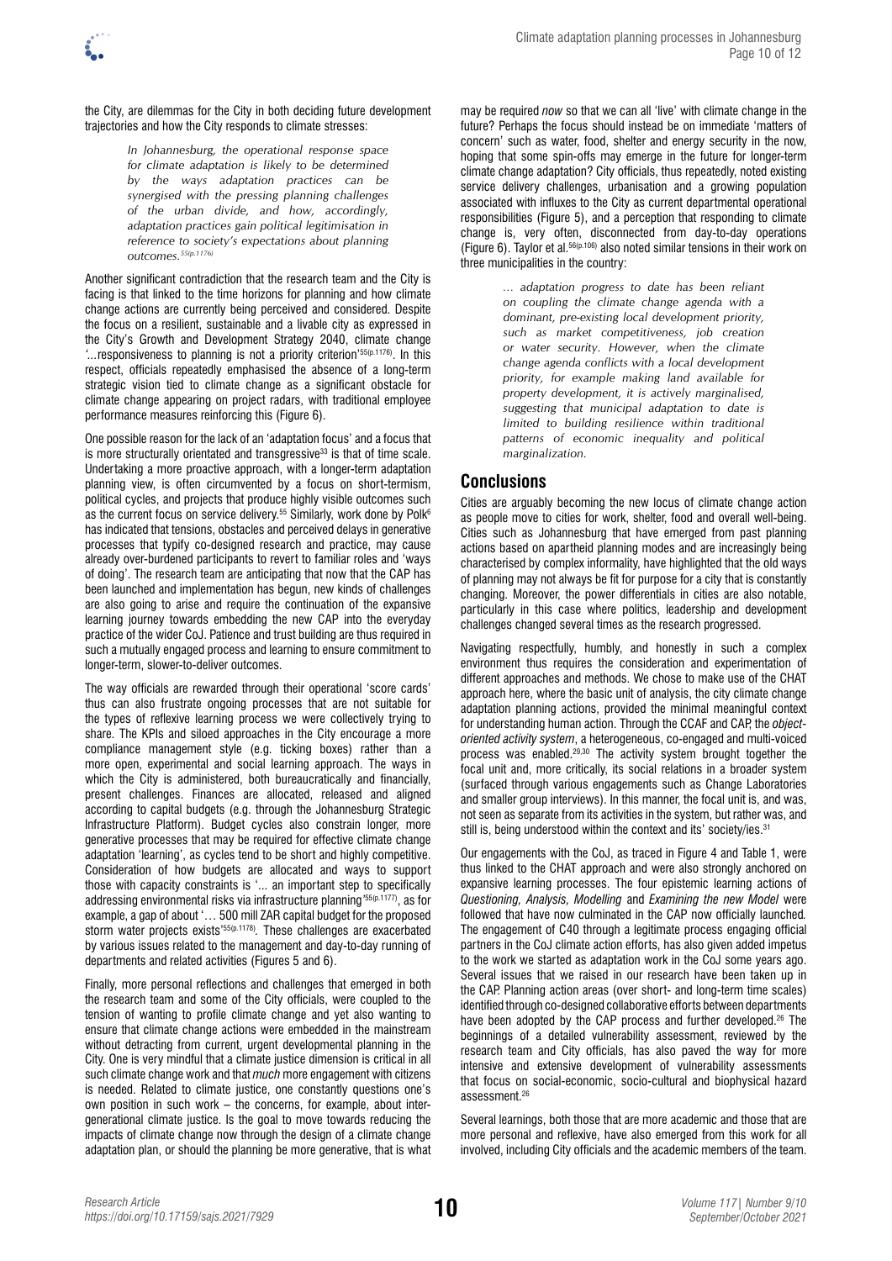the City, are dilemmas for the City in both deciding future development trajectories and how the City responds to climate stresses:

> *In Johannesburg, the operational response space for climate adaptation is likely to be determined by the ways adaptation practices can be synergised with the pressing planning challenges of the urban divide, and how, accordingly, adaptation practices gain political legitimisation in reference to society's expectations about planning outcomes.55(p.1176)*

Another significant contradiction that the research team and the City is facing is that linked to the time horizons for planning and how climate change actions are currently being perceived and considered. Despite the focus on a resilient, sustainable and a livable city as expressed in the City's Growth and Development Strategy 2040, climate change *'...*responsiveness to planning is not a priority criterion'55(p.1176). In this respect, officials repeatedly emphasised the absence of a long-term strategic vision tied to climate change as a significant obstacle for climate change appearing on project radars, with traditional employee performance measures reinforcing this (Figure 6).

One possible reason for the lack of an 'adaptation focus' and a focus that is more structurally orientated and transgressive<sup>33</sup> is that of time scale. Undertaking a more proactive approach, with a longer-term adaptation planning view, is often circumvented by a focus on short-termism, political cycles, and projects that produce highly visible outcomes such as the current focus on service delivery.<sup>55</sup> Similarly, work done by Polk<sup>6</sup> has indicated that tensions, obstacles and perceived delays in generative processes that typify co-designed research and practice, may cause already over-burdened participants to revert to familiar roles and 'ways of doing'. The research team are anticipating that now that the CAP has been launched and implementation has begun, new kinds of challenges are also going to arise and require the continuation of the expansive learning journey towards embedding the new CAP into the everyday practice of the wider CoJ. Patience and trust building are thus required in such a mutually engaged process and learning to ensure commitment to longer-term, slower-to-deliver outcomes.

The way officials are rewarded through their operational 'score cards' thus can also frustrate ongoing processes that are not suitable for the types of reflexive learning process we were collectively trying to share. The KPIs and siloed approaches in the City encourage a more compliance management style (e.g. ticking boxes) rather than a more open, experimental and social learning approach. The ways in which the City is administered, both bureaucratically and financially, present challenges. Finances are allocated, released and aligned according to capital budgets (e.g. through the Johannesburg Strategic Infrastructure Platform). Budget cycles also constrain longer, more generative processes that may be required for effective climate change adaptation 'learning', as cycles tend to be short and highly competitive. Consideration of how budgets are allocated and ways to support those with capacity constraints is '... an important step to specifically addressing environmental risks via infrastructure planning*'* 55(p.1177), as for example, a gap of about '… 500 mill ZAR capital budget for the proposed storm water projects exists'<sup>55(p.1178)</sup>. These challenges are exacerbated by various issues related to the management and day-to-day running of departments and related activities (Figures 5 and 6).

Finally, more personal reflections and challenges that emerged in both the research team and some of the City officials, were coupled to the tension of wanting to profile climate change and yet also wanting to ensure that climate change actions were embedded in the mainstream without detracting from current, urgent developmental planning in the City. One is very mindful that a climate justice dimension is critical in all such climate change work and that *much* more engagement with citizens is needed. Related to climate justice, one constantly questions one's own position in such work – the concerns, for example, about intergenerational climate justice. Is the goal to move towards reducing the impacts of climate change now through the design of a climate change adaptation plan, or should the planning be more generative, that is what may be required *now* so that we can all 'live' with climate change in the future? Perhaps the focus should instead be on immediate 'matters of concern' such as water, food, shelter and energy security in the now, hoping that some spin-offs may emerge in the future for longer-term climate change adaptation? City officials, thus repeatedly, noted existing service delivery challenges, urbanisation and a growing population associated with influxes to the City as current departmental operational responsibilities (Figure 5), and a perception that responding to climate change is, very often, disconnected from day-to-day operations (Figure 6). Taylor et al.56(p.106) also noted similar tensions in their work on three municipalities in the country:

> *… adaptation progress to date has been reliant on coupling the climate change agenda with a dominant, pre-existing local development priority, such as market competitiveness, job creation or water security. However, when the climate change agenda conflicts with a local development priority, for example making land available for property development, it is actively marginalised, suggesting that municipal adaptation to date is limited to building resilience within traditional patterns of economic inequality and political marginalization.*

### **Conclusions**

Cities are arguably becoming the new locus of climate change action as people move to cities for work, shelter, food and overall well-being. Cities such as Johannesburg that have emerged from past planning actions based on apartheid planning modes and are increasingly being characterised by complex informality, have highlighted that the old ways of planning may not always be fit for purpose for a city that is constantly changing. Moreover, the power differentials in cities are also notable, particularly in this case where politics, leadership and development challenges changed several times as the research progressed.

Navigating respectfully, humbly, and honestly in such a complex environment thus requires the consideration and experimentation of different approaches and methods. We chose to make use of the CHAT approach here, where the basic unit of analysis, the city climate change adaptation planning actions, provided the minimal meaningful context for understanding human action. Through the CCAF and CAP, the *objectoriented activity system*, a heterogeneous, co-engaged and multi-voiced process was enabled.29,30 The activity system brought together the focal unit and, more critically, its social relations in a broader system (surfaced through various engagements such as Change Laboratories and smaller group interviews). In this manner, the focal unit is, and was, not seen as separate from its activities in the system, but rather was, and still is, being understood within the context and its' society/ies.<sup>31</sup>

Our engagements with the CoJ, as traced in Figure 4 and Table 1, were thus linked to the CHAT approach and were also strongly anchored on expansive learning processes. The four epistemic learning actions of *Questioning, Analysis, Modelling* and *Examining the new Model* were followed that have now culminated in the CAP now officially launched*.* The engagement of C40 through a legitimate process engaging official partners in the CoJ climate action efforts, has also given added impetus to the work we started as adaptation work in the CoJ some years ago. Several issues that we raised in our research have been taken up in the CAP. Planning action areas (over short- and long-term time scales) identified through co-designed collaborative efforts between departments have been adopted by the CAP process and further developed.<sup>26</sup> The beginnings of a detailed vulnerability assessment, reviewed by the research team and City officials, has also paved the way for more intensive and extensive development of vulnerability assessments that focus on social-economic, socio-cultural and biophysical hazard assessment<sup>26</sup>

Several learnings, both those that are more academic and those that are more personal and reflexive, have also emerged from this work for all involved, including City officials and the academic members of the team.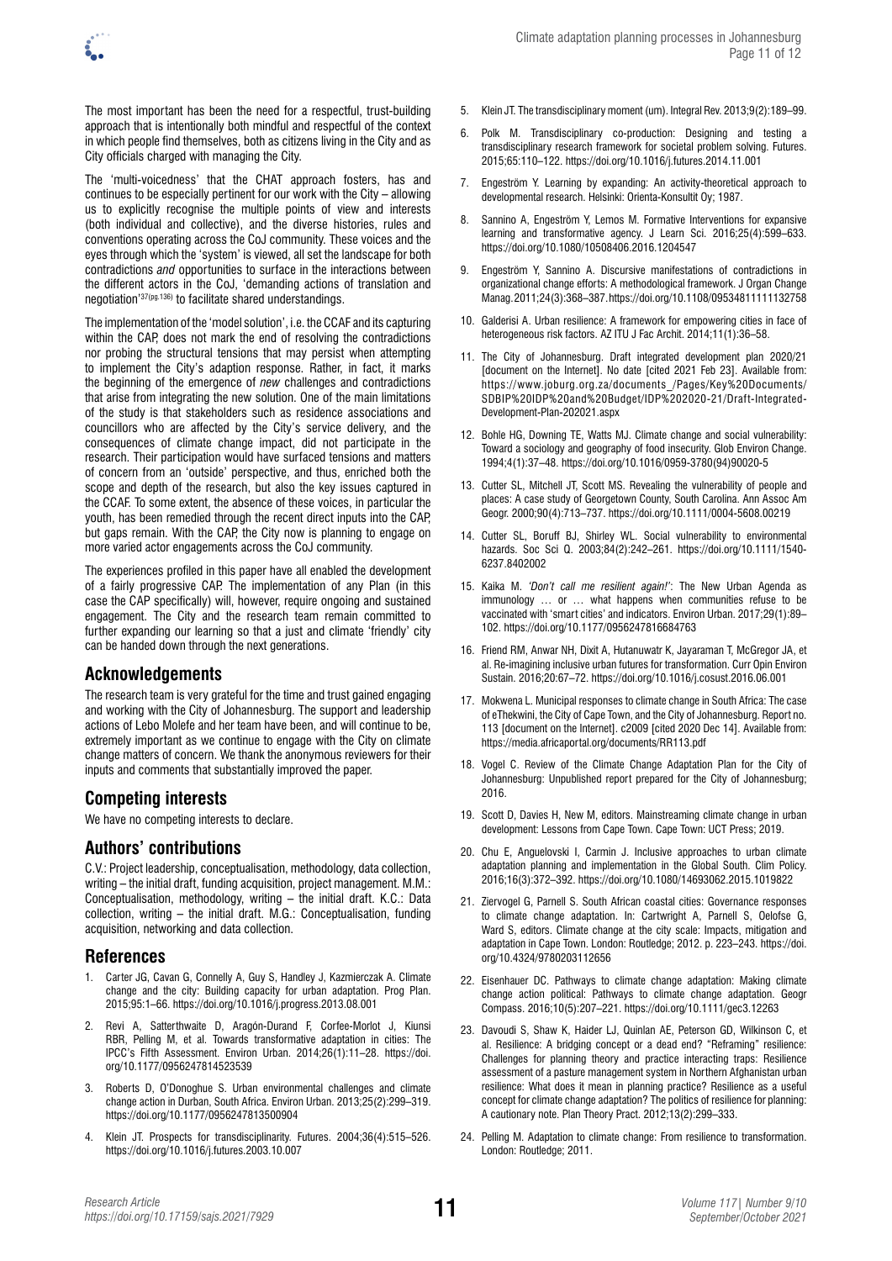The most important has been the need for a respectful, trust-building approach that is intentionally both mindful and respectful of the context in which people find themselves, both as citizens living in the City and as City officials charged with managing the City.

The 'multi-voicedness' that the CHAT approach fosters, has and continues to be especially pertinent for our work with the City – allowing us to explicitly recognise the multiple points of view and interests (both individual and collective), and the diverse histories, rules and conventions operating across the CoJ community. These voices and the eyes through which the 'system' is viewed, all set the landscape for both contradictions *and* opportunities to surface in the interactions between the different actors in the CoJ, 'demanding actions of translation and negotiation'37(pg.136) to facilitate shared understandings.

The implementation of the 'model solution', i.e. the CCAF and its capturing within the CAP, does not mark the end of resolving the contradictions nor probing the structural tensions that may persist when attempting to implement the City's adaption response. Rather, in fact, it marks the beginning of the emergence of *new* challenges and contradictions that arise from integrating the new solution. One of the main limitations of the study is that stakeholders such as residence associations and councillors who are affected by the City's service delivery, and the consequences of climate change impact, did not participate in the research. Their participation would have surfaced tensions and matters of concern from an 'outside' perspective, and thus, enriched both the scope and depth of the research, but also the key issues captured in the CCAF. To some extent, the absence of these voices, in particular the youth, has been remedied through the recent direct inputs into the CAP, but gaps remain. With the CAP, the City now is planning to engage on more varied actor engagements across the CoJ community.

The experiences profiled in this paper have all enabled the development of a fairly progressive CAP. The implementation of any Plan (in this case the CAP specifically) will, however, require ongoing and sustained engagement. The City and the research team remain committed to further expanding our learning so that a just and climate 'friendly' city can be handed down through the next generations.

# **Acknowledgements**

The research team is very grateful for the time and trust gained engaging and working with the City of Johannesburg. The support and leadership actions of Lebo Molefe and her team have been, and will continue to be, extremely important as we continue to engage with the City on climate change matters of concern. We thank the anonymous reviewers for their inputs and comments that substantially improved the paper.

# **Competing interests**

We have no competing interests to declare.

# **Authors' contributions**

C.V.: Project leadership, conceptualisation, methodology, data collection, writing – the initial draft, funding acquisition, project management. M.M.: Conceptualisation, methodology, writing – the initial draft. K.C.: Data collection, writing – the initial draft. M.G.: Conceptualisation, funding acquisition, networking and data collection.

# **References**

- 1. Carter JG, Cavan G, Connelly A, Guy S, Handley J, Kazmierczak A. Climate change and the city: Building capacity for urban adaptation. Prog Plan. 2015;95:1–66. <https://doi.org/10.1016/j.progress.2013.08.001>
- 2. Revi A, Satterthwaite D, Aragón-Durand F, Corfee-Morlot J, Kiunsi RBR, Pelling M, et al. Towards transformative adaptation in cities: The IPCC's Fifth Assessment. Environ Urban. 2014;26(1):11–28. [https://doi.](https://doi.org/10.1177/0956247814523539) [org/10.1177/0956247814523539](https://doi.org/10.1177/0956247814523539)
- Roberts D, O'Donoghue S. Urban environmental challenges and climate change action in Durban, South Africa. Environ Urban. 2013;25(2):299–319. <https://doi.org/10.1177/0956247813500904>
- 4. Klein JT. Prospects for transdisciplinarity. Futures. 2004;36(4):515–526. <https://doi.org/10.1016/j.futures.2003.10.007>
- 5. Klein JT. The transdisciplinary moment (um). Integral Rev. 2013;9(2):189–99.
- 6. Polk M. Transdisciplinary co-production: Designing and testing a transdisciplinary research framework for societal problem solving. Futures. 2015;65:110–122. <https://doi.org/10.1016/j.futures.2014.11.001>
- 7. Engeström Y. Learning by expanding: An activity-theoretical approach to developmental research. Helsinki: Orienta-Konsultit Oy; 1987.
- 8. Sannino A, Engeström Y, Lemos M. Formative Interventions for expansive learning and transformative agency. J Learn Sci. 2016;25(4):599–633. <https://doi.org/10.1080/10508406.2016.1204547>
- 9. Engeström Y, Sannino A. Discursive manifestations of contradictions in organizational change efforts: A methodological framework. J Organ Change Manag. 2011;24(3):368–387.<https://doi.org/10.1108/09534811111132758>
- 10. Galderisi A. Urban resilience: A framework for empowering cities in face of heterogeneous risk factors. AZ ITU J Fac Archit. 2014;11(1):36–58.
- 11. The City of Johannesburg. Draft integrated development plan 2020/21 [document on the Internet]. No date [cited 2021 Feb 23]. Available from: [https://www.joburg.org.za/documents\\_/Pages/Key%20Documents/](https://www.joburg.org.za/documents_/Pages/Key%2520Documents/SDBIP%2520IDP%2520and%2520Budget/IDP%25202020-21/Draft-Integrated-Development-Plan-202021.aspx) [SDBIP%20IDP%20and%20Budget/IDP%202020-21/Draft-Integrated-](https://www.joburg.org.za/documents_/Pages/Key%2520Documents/SDBIP%2520IDP%2520and%2520Budget/IDP%25202020-21/Draft-Integrated-Development-Plan-202021.aspx)[Development-Plan-202021.aspx](https://www.joburg.org.za/documents_/Pages/Key%2520Documents/SDBIP%2520IDP%2520and%2520Budget/IDP%25202020-21/Draft-Integrated-Development-Plan-202021.aspx)
- 12. Bohle HG, Downing TE, Watts MJ. Climate change and social vulnerability: Toward a sociology and geography of food insecurity. Glob Environ Change. 1994;4(1):37–48. [https://doi.org/10.1016/0959-3780\(94\)90020-5](https://doi.org/10.1016/0959-3780%2894%2990020-5)
- 13. Cutter SL, Mitchell JT, Scott MS. Revealing the vulnerability of people and places: A case study of Georgetown County, South Carolina. Ann Assoc Am Geogr. 2000;90(4):713–737.<https://doi.org/10.1111/0004-5608.00219>
- 14. Cutter SL, Boruff BJ, Shirley WL. Social vulnerability to environmental hazards. Soc Sci Q. 2003;84(2):242–261. [https://doi.org/10.1111/1540-](https://doi.org/10.1111/1540-6237.8402002) [6237.8402002](https://doi.org/10.1111/1540-6237.8402002)
- 15. Kaika M. *'Don't call me resilient again!'*: The New Urban Agenda as immunology … or … what happens when communities refuse to be vaccinated with 'smart cities' and indicators. Environ Urban. 2017;29(1):89– 102. <https://doi.org/10.1177/0956247816684763>
- 16. Friend RM, Anwar NH, Dixit A, Hutanuwatr K, Jayaraman T, McGregor JA, et al. Re-imagining inclusive urban futures for transformation. Curr Opin Environ Sustain. 2016;20:67–72. <https://doi.org/10.1016/j.cosust.2016.06.001>
- 17. Mokwena L. Municipal responses to climate change in South Africa: The case of eThekwini, the City of Cape Town, and the City of Johannesburg. Report no. 113 [document on the Internet]. c2009 [cited 2020 Dec 14]. Available from: <https://media.africaportal.org/documents/RR113.pdf>
- 18. Vogel C. Review of the Climate Change Adaptation Plan for the City of Johannesburg: Unpublished report prepared for the City of Johannesburg; 2016.
- 19. Scott D, Davies H, New M, editors. Mainstreaming climate change in urban development: Lessons from Cape Town. Cape Town: UCT Press; 2019.
- 20. Chu E, Anguelovski I, Carmin J. Inclusive approaches to urban climate adaptation planning and implementation in the Global South. Clim Policy. 2016;16(3):372–392.<https://doi.org/10.1080/14693062.2015.1019822>
- 21. Ziervogel G, Parnell S. South African coastal cities: Governance responses to climate change adaptation. In: Cartwright A, Parnell S, Oelofse G, Ward S, editors. Climate change at the city scale: Impacts, mitigation and adaptation in Cape Town. London: Routledge; 2012. p. 223–243. [https://doi.](https://doi.org/10.4324/9780203112656) [org/10.4324/9780203112656](https://doi.org/10.4324/9780203112656)
- 22. Eisenhauer DC. Pathways to climate change adaptation: Making climate change action political: Pathways to climate change adaptation. Geogr Compass. 2016;10(5):207–221. <https://doi.org/10.1111/gec3.12263>
- 23. Davoudi S, Shaw K, Haider LJ, Quinlan AE, Peterson GD, Wilkinson C, et al. Resilience: A bridging concept or a dead end? "Reframing" resilience: Challenges for planning theory and practice interacting traps: Resilience assessment of a pasture management system in Northern Afghanistan urban resilience: What does it mean in planning practice? Resilience as a useful concept for climate change adaptation? The politics of resilience for planning: A cautionary note. Plan Theory Pract. 2012;13(2):299–333.
- 24. Pelling M. Adaptation to climate change: From resilience to transformation. London: Routledge; 2011.